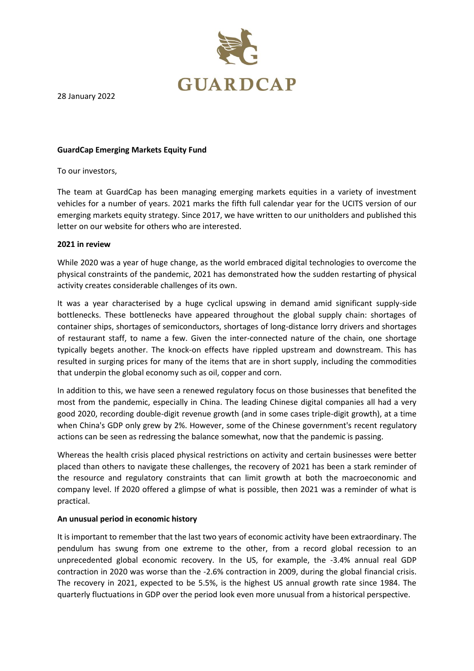

28 January 2022

## **GuardCap Emerging Markets Equity Fund**

To our investors,

The team at GuardCap has been managing emerging markets equities in a variety of investment vehicles for a number of years. 2021 marks the fifth full calendar year for the UCITS version of our emerging markets equity strategy. Since 2017, we have written to our unitholders and published this letter on our website for others who are interested.

# **2021 in review**

While 2020 was a year of huge change, as the world embraced digital technologies to overcome the physical constraints of the pandemic, 2021 has demonstrated how the sudden restarting of physical activity creates considerable challenges of its own.

It was a year characterised by a huge cyclical upswing in demand amid significant supply-side bottlenecks. These bottlenecks have appeared throughout the global supply chain: shortages of container ships, shortages of semiconductors, shortages of long-distance lorry drivers and shortages of restaurant staff, to name a few. Given the inter-connected nature of the chain, one shortage typically begets another. The knock-on effects have rippled upstream and downstream. This has resulted in surging prices for many of the items that are in short supply, including the commodities that underpin the global economy such as oil, copper and corn.

In addition to this, we have seen a renewed regulatory focus on those businesses that benefited the most from the pandemic, especially in China. The leading Chinese digital companies all had a very good 2020, recording double-digit revenue growth (and in some cases triple-digit growth), at a time when China's GDP only grew by 2%. However, some of the Chinese government's recent regulatory actions can be seen as redressing the balance somewhat, now that the pandemic is passing.

Whereas the health crisis placed physical restrictions on activity and certain businesses were better placed than others to navigate these challenges, the recovery of 2021 has been a stark reminder of the resource and regulatory constraints that can limit growth at both the macroeconomic and company level. If 2020 offered a glimpse of what is possible, then 2021 was a reminder of what is practical.

### **An unusual period in economic history**

It is important to remember that the last two years of economic activity have been extraordinary. The pendulum has swung from one extreme to the other, from a record global recession to an unprecedented global economic recovery. In the US, for example, the -3.4% annual real GDP contraction in 2020 was worse than the -2.6% contraction in 2009, during the global financial crisis. The recovery in 2021, expected to be 5.5%, is the highest US annual growth rate since 1984. The quarterly fluctuations in GDP over the period look even more unusual from a historical perspective.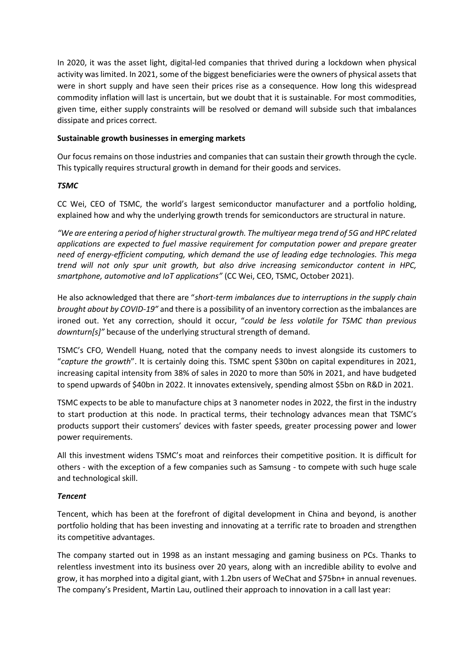In 2020, it was the asset light, digital-led companies that thrived during a lockdown when physical activity was limited. In 2021, some of the biggest beneficiaries were the owners of physical assets that were in short supply and have seen their prices rise as a consequence. How long this widespread commodity inflation will last is uncertain, but we doubt that it is sustainable. For most commodities, given time, either supply constraints will be resolved or demand will subside such that imbalances dissipate and prices correct.

# **Sustainable growth businesses in emerging markets**

Our focus remains on those industries and companies that can sustain their growth through the cycle. This typically requires structural growth in demand for their goods and services.

# *TSMC*

CC Wei, CEO of TSMC, the world's largest semiconductor manufacturer and a portfolio holding, explained how and why the underlying growth trends for semiconductors are structural in nature.

*"We are entering a period of higher structural growth. The multiyear mega trend of 5G and HPC related applications are expected to fuel massive requirement for computation power and prepare greater need of energy-efficient computing, which demand the use of leading edge technologies. This mega trend will not only spur unit growth, but also drive increasing semiconductor content in HPC, smartphone, automotive and IoT applications"* (CC Wei, CEO, TSMC, October 2021).

He also acknowledged that there are "*short-term imbalances due to interruptions in the supply chain brought about by COVID-19"* and there is a possibility of an inventory correction as the imbalances are ironed out. Yet any correction, should it occur, "*could be less volatile for TSMC than previous downturn[s]"* because of the underlying structural strength of demand.

TSMC's CFO, Wendell Huang, noted that the company needs to invest alongside its customers to "*capture the growth*". It is certainly doing this. TSMC spent \$30bn on capital expenditures in 2021, increasing capital intensity from 38% of sales in 2020 to more than 50% in 2021, and have budgeted to spend upwards of \$40bn in 2022. It innovates extensively, spending almost \$5bn on R&D in 2021.

TSMC expects to be able to manufacture chips at 3 nanometer nodes in 2022, the first in the industry to start production at this node. In practical terms, their technology advances mean that TSMC's products support their customers' devices with faster speeds, greater processing power and lower power requirements.

All this investment widens TSMC's moat and reinforces their competitive position. It is difficult for others - with the exception of a few companies such as Samsung - to compete with such huge scale and technological skill.

### *Tencent*

Tencent, which has been at the forefront of digital development in China and beyond, is another portfolio holding that has been investing and innovating at a terrific rate to broaden and strengthen its competitive advantages.

The company started out in 1998 as an instant messaging and gaming business on PCs. Thanks to relentless investment into its business over 20 years, along with an incredible ability to evolve and grow, it has morphed into a digital giant, with 1.2bn users of WeChat and \$75bn+ in annual revenues. The company's President, Martin Lau, outlined their approach to innovation in a call last year: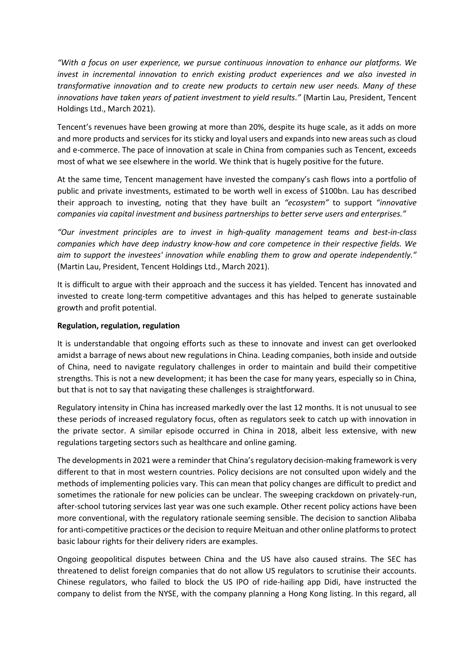*"With a focus on user experience, we pursue continuous innovation to enhance our platforms. We invest in incremental innovation to enrich existing product experiences and we also invested in transformative innovation and to create new products to certain new user needs. Many of these innovations have taken years of patient investment to yield results."* (Martin Lau, President, Tencent Holdings Ltd., March 2021).

Tencent's revenues have been growing at more than 20%, despite its huge scale, as it adds on more and more products and services for its sticky and loyal users and expands into new areas such as cloud and e-commerce. The pace of innovation at scale in China from companies such as Tencent, exceeds most of what we see elsewhere in the world. We think that is hugely positive for the future.

At the same time, Tencent management have invested the company's cash flows into a portfolio of public and private investments, estimated to be worth well in excess of \$100bn. Lau has described their approach to investing, noting that they have built an *"ecosystem"* to support *"innovative companies via capital investment and business partnerships to better serve users and enterprises."*

*"Our investment principles are to invest in high-quality management teams and best-in-class companies which have deep industry know-how and core competence in their respective fields. We aim to support the investees' innovation while enabling them to grow and operate independently."*  (Martin Lau, President, Tencent Holdings Ltd., March 2021).

It is difficult to argue with their approach and the success it has yielded. Tencent has innovated and invested to create long-term competitive advantages and this has helped to generate sustainable growth and profit potential.

### **Regulation, regulation, regulation**

It is understandable that ongoing efforts such as these to innovate and invest can get overlooked amidst a barrage of news about new regulations in China. Leading companies, both inside and outside of China, need to navigate regulatory challenges in order to maintain and build their competitive strengths. This is not a new development; it has been the case for many years, especially so in China, but that is not to say that navigating these challenges is straightforward.

Regulatory intensity in China has increased markedly over the last 12 months. It is not unusual to see these periods of increased regulatory focus, often as regulators seek to catch up with innovation in the private sector. A similar episode occurred in China in 2018, albeit less extensive, with new regulations targeting sectors such as healthcare and online gaming.

The developments in 2021 were a reminder that China's regulatory decision-making framework is very different to that in most western countries. Policy decisions are not consulted upon widely and the methods of implementing policies vary. This can mean that policy changes are difficult to predict and sometimes the rationale for new policies can be unclear. The sweeping crackdown on privately-run, after-school tutoring services last year was one such example. Other recent policy actions have been more conventional, with the regulatory rationale seeming sensible. The decision to sanction Alibaba for anti-competitive practices or the decision to require Meituan and other online platforms to protect basic labour rights for their delivery riders are examples.

Ongoing geopolitical disputes between China and the US have also caused strains. The SEC has threatened to delist foreign companies that do not allow US regulators to scrutinise their accounts. Chinese regulators, who failed to block the US IPO of ride-hailing app Didi, have instructed the company to delist from the NYSE, with the company planning a Hong Kong listing. In this regard, all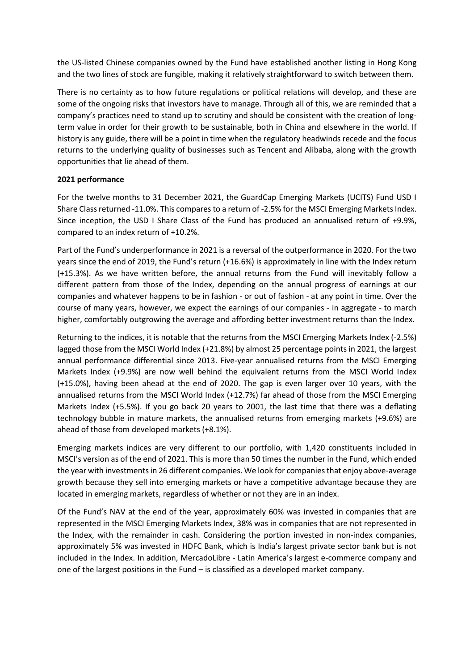the US-listed Chinese companies owned by the Fund have established another listing in Hong Kong and the two lines of stock are fungible, making it relatively straightforward to switch between them.

There is no certainty as to how future regulations or political relations will develop, and these are some of the ongoing risks that investors have to manage. Through all of this, we are reminded that a company's practices need to stand up to scrutiny and should be consistent with the creation of longterm value in order for their growth to be sustainable, both in China and elsewhere in the world. If history is any guide, there will be a point in time when the regulatory headwinds recede and the focus returns to the underlying quality of businesses such as Tencent and Alibaba, along with the growth opportunities that lie ahead of them.

# **2021 performance**

For the twelve months to 31 December 2021, the GuardCap Emerging Markets (UCITS) Fund USD I Share Class returned -11.0%. This compares to a return of -2.5% for the MSCI Emerging Markets Index. Since inception, the USD I Share Class of the Fund has produced an annualised return of +9.9%, compared to an index return of +10.2%.

Part of the Fund's underperformance in 2021 is a reversal of the outperformance in 2020. For the two years since the end of 2019, the Fund's return (+16.6%) is approximately in line with the Index return (+15.3%). As we have written before, the annual returns from the Fund will inevitably follow a different pattern from those of the Index, depending on the annual progress of earnings at our companies and whatever happens to be in fashion - or out of fashion - at any point in time. Over the course of many years, however, we expect the earnings of our companies - in aggregate - to march higher, comfortably outgrowing the average and affording better investment returns than the Index.

Returning to the indices, it is notable that the returns from the MSCI Emerging Markets Index (-2.5%) lagged those from the MSCI World Index (+21.8%) by almost 25 percentage points in 2021, the largest annual performance differential since 2013. Five-year annualised returns from the MSCI Emerging Markets Index (+9.9%) are now well behind the equivalent returns from the MSCI World Index (+15.0%), having been ahead at the end of 2020. The gap is even larger over 10 years, with the annualised returns from the MSCI World Index (+12.7%) far ahead of those from the MSCI Emerging Markets Index (+5.5%). If you go back 20 years to 2001, the last time that there was a deflating technology bubble in mature markets, the annualised returns from emerging markets (+9.6%) are ahead of those from developed markets (+8.1%).

Emerging markets indices are very different to our portfolio, with 1,420 constituents included in MSCI's version as of the end of 2021. This is more than 50 times the number in the Fund, which ended the year with investments in 26 different companies. We look for companies that enjoy above-average growth because they sell into emerging markets or have a competitive advantage because they are located in emerging markets, regardless of whether or not they are in an index.

Of the Fund's NAV at the end of the year, approximately 60% was invested in companies that are represented in the MSCI Emerging Markets Index, 38% was in companies that are not represented in the Index, with the remainder in cash. Considering the portion invested in non-index companies, approximately 5% was invested in HDFC Bank, which is India's largest private sector bank but is not included in the Index. In addition, MercadoLibre - Latin America's largest e-commerce company and one of the largest positions in the Fund – is classified as a developed market company.